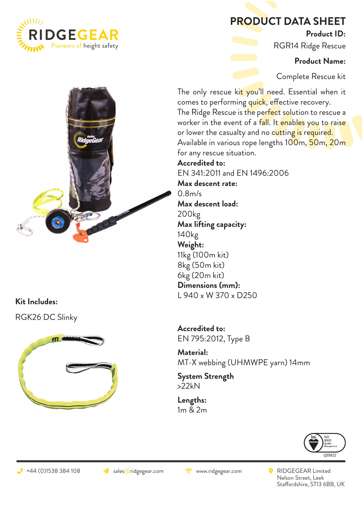

## **PRODUCT DATA SHEET**

**Product ID:**

RGR14 Ridge Rescue

**Product Name:**

Complete Rescue kit

The only rescue kit you'll need. Essential when it comes to performing quick, effective recovery. The Ridge Rescue is the perfect solution to rescue a worker in the event of a fall. It enables you to raise or lower the casualty and no cutting is required. Available in various rope lengths 100m, 50m, 20m for any rescue situation.

**Accredited to:**  EN 341:2011 and EN 1496:2006 **Max descent rate:** 0.8m/s **Max descent load:** 200kg **Max lifting capacity:** 140kg **Weight:** 11kg (100m kit) 8kg (50m kit) 6kg (20m kit) **Dimensions (mm):** L 940 x W 370 x D250

**Accredited to:**  EN 795:2012, Type B

**Material:**  MT-X webbing (UHMWPE yarn) 14mm

**System Strength** >22kN

**Lengths:** 1m & 2m



+44 (0)1538 384 108 ales aridgegear.com → RIDGEGEAR Limited Nelson Street, Leek Staffordshire, ST13 6BB, UK



**Kit Includes:**

RGK26 DC Slinky